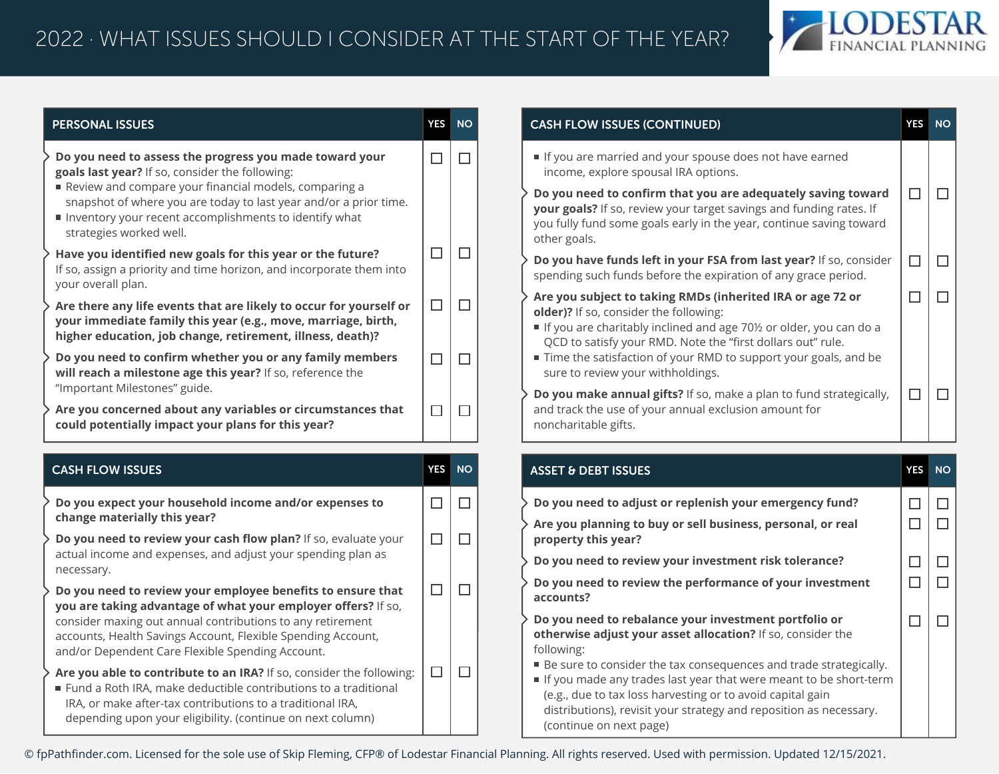

| <b>PERSONAL ISSUES</b>                                                                                                                                                                                                                                                                                 | YES        | <b>NO</b> | <b>CASH FLOW ISSUES (CONTINUED)</b>                                                                                                                                                                                                      | <b>YES</b>       |
|--------------------------------------------------------------------------------------------------------------------------------------------------------------------------------------------------------------------------------------------------------------------------------------------------------|------------|-----------|------------------------------------------------------------------------------------------------------------------------------------------------------------------------------------------------------------------------------------------|------------------|
| Do you need to assess the progress you made toward your<br>goals last year? If so, consider the following:                                                                                                                                                                                             | $\Box$     | $\Box$    | If you are married and your spouse does not have earned<br>income, explore spousal IRA options.                                                                                                                                          |                  |
| Review and compare your financial models, comparing a<br>snapshot of where you are today to last year and/or a prior time.<br>Inventory your recent accomplishments to identify what<br>strategies worked well.                                                                                        |            |           | Do you need to confirm that you are adequately saving toward<br>your goals? If so, review your target savings and funding rates. If<br>you fully fund some goals early in the year, continue saving toward<br>other goals.               | $\Box$           |
| Have you identified new goals for this year or the future?<br>If so, assign a priority and time horizon, and incorporate them into<br>your overall plan.                                                                                                                                               | $\Box$     | $\Box$    | Do you have funds left in your FSA from last year? If so, consider<br>spending such funds before the expiration of any grace period.                                                                                                     | $\Box$           |
| Are there any life events that are likely to occur for yourself or<br>your immediate family this year (e.g., move, marriage, birth,<br>higher education, job change, retirement, illness, death)?                                                                                                      | $\Box$     | $\Box$    | Are you subject to taking RMDs (inherited IRA or age 72 or<br>older)? If so, consider the following:<br>If you are charitably inclined and age 70½ or older, you can do a<br>QCD to satisfy your RMD. Note the "first dollars out" rule. | $\Box$           |
| Do you need to confirm whether you or any family members<br>will reach a milestone age this year? If so, reference the<br>"Important Milestones" guide.                                                                                                                                                | $\Box$     | П         | Time the satisfaction of your RMD to support your goals, and be<br>sure to review your withholdings.                                                                                                                                     |                  |
|                                                                                                                                                                                                                                                                                                        |            |           | Do you make annual gifts? If so, make a plan to fund strategically,                                                                                                                                                                      | $\Box$           |
| Are you concerned about any variables or circumstances that<br>could potentially impact your plans for this year?                                                                                                                                                                                      | $\Box$     | $\Box$    | and track the use of your annual exclusion amount for<br>noncharitable gifts.                                                                                                                                                            |                  |
| <b>CASH FLOW ISSUES</b>                                                                                                                                                                                                                                                                                | <b>YES</b> | <b>NO</b> | <b>ASSET &amp; DEBT ISSUES</b>                                                                                                                                                                                                           | <b>YES</b>       |
|                                                                                                                                                                                                                                                                                                        | $\Box$     | $\Box$    | Do you need to adjust or replenish your emergency fund?                                                                                                                                                                                  | $\Box$           |
|                                                                                                                                                                                                                                                                                                        | $\Box$     | $\Box$    | Are you planning to buy or sell business, personal, or real<br>property this year?                                                                                                                                                       |                  |
|                                                                                                                                                                                                                                                                                                        |            |           | Do you need to review your investment risk tolerance?                                                                                                                                                                                    | $\Box$<br>$\Box$ |
| Do you expect your household income and/or expenses to<br>change materially this year?<br>Do you need to review your cash flow plan? If so, evaluate your<br>actual income and expenses, and adjust your spending plan as<br>necessary.<br>Do you need to review your employee benefits to ensure that | $\Box$     | П         | Do you need to review the performance of your investment<br>accounts?                                                                                                                                                                    | $\Box$           |
| you are taking advantage of what your employer offers? If so,<br>consider maxing out annual contributions to any retirement<br>accounts, Health Savings Account, Flexible Spending Account,<br>and/or Dependent Care Flexible Spending Account.                                                        |            |           | Do you need to rebalance your investment portfolio or<br>otherwise adjust your asset allocation? If so, consider the<br>following:<br>■ Be sure to consider the tax consequences and trade strategically.                                | $\Box$           |

© fpPathfinder.com. Licensed for the sole use of Skip Fleming, CFP® of Lodestar Financial Planning. All rights reserved. Used with permission. Updated 12/15/2021.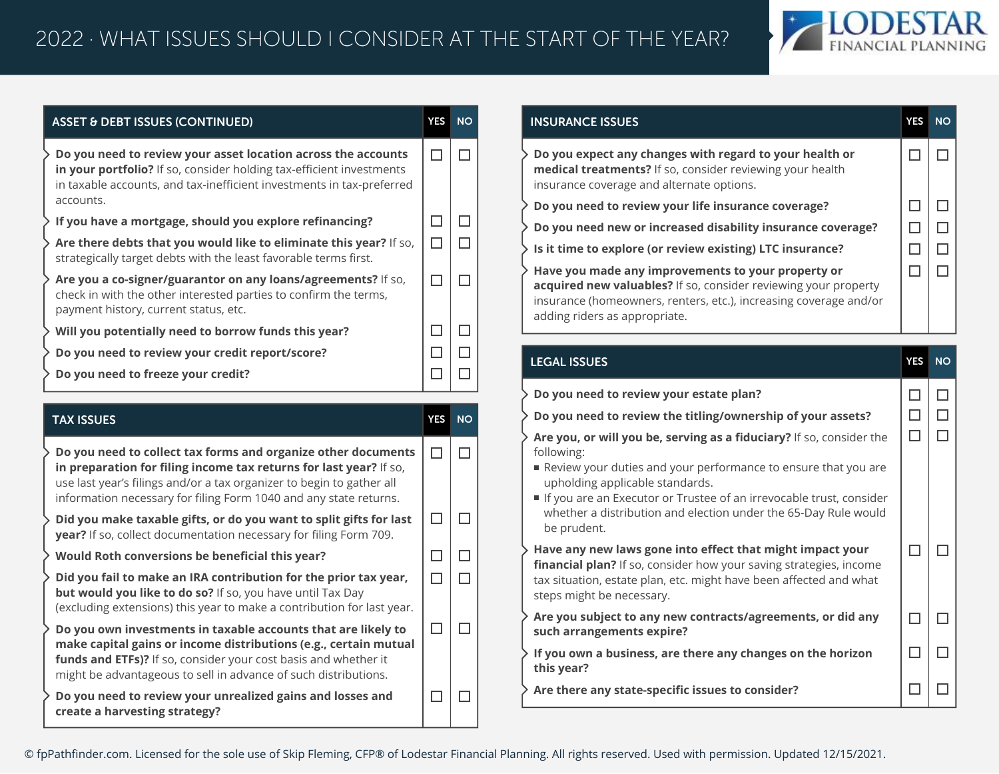

| <b>ASSET &amp; DEBT ISSUES (CONTINUED)</b> |                                                                                                                                                                                                                                              |  | <b>NO</b> |
|--------------------------------------------|----------------------------------------------------------------------------------------------------------------------------------------------------------------------------------------------------------------------------------------------|--|-----------|
|                                            | $\triangleright$ Do you need to review your asset location across the accounts<br>in your portfolio? If so, consider holding tax-efficient investments<br>in taxable accounts, and tax-inefficient investments in tax-preferred<br>accounts. |  |           |
|                                            | $\rightarrow$ If you have a mortgage, should you explore refinancing?                                                                                                                                                                        |  |           |
|                                            | > Are there debts that you would like to eliminate this year? If so,<br>strategically target debts with the least favorable terms first.                                                                                                     |  |           |
|                                            | > Are you a co-signer/guarantor on any loans/agreements? If so,<br>check in with the other interested parties to confirm the terms,<br>payment history, current status, etc.                                                                 |  |           |
|                                            | Will you potentially need to borrow funds this year?                                                                                                                                                                                         |  |           |
|                                            | > Do you need to review your credit report/score?                                                                                                                                                                                            |  |           |
|                                            | > Do you need to freeze your credit?                                                                                                                                                                                                         |  |           |

| <b>TAX ISSUES</b>                                                                                                                                                                                                                                                                 | <b>YES</b> | <b>NO</b> |
|-----------------------------------------------------------------------------------------------------------------------------------------------------------------------------------------------------------------------------------------------------------------------------------|------------|-----------|
| Do you need to collect tax forms and organize other documents<br>in preparation for filing income tax returns for last year? If so,<br>use last year's filings and/or a tax organizer to begin to gather all<br>information necessary for filing Form 1040 and any state returns. |            |           |
| Did you make taxable gifts, or do you want to split gifts for last<br>year? If so, collect documentation necessary for filing Form 709.                                                                                                                                           |            |           |
| Would Roth conversions be beneficial this year?                                                                                                                                                                                                                                   |            |           |
| Did you fail to make an IRA contribution for the prior tax year,<br>but would you like to do so? If so, you have until Tax Day<br>(excluding extensions) this year to make a contribution for last year.                                                                          |            |           |
| Do you own investments in taxable accounts that are likely to<br>make capital gains or income distributions (e.g., certain mutual<br>funds and ETFs)? If so, consider your cost basis and whether it<br>might be advantageous to sell in advance of such distributions.           |            |           |
| Do you need to review your unrealized gains and losses and<br>create a harvesting strategy?                                                                                                                                                                                       |            |           |

| <b>INSURANCE ISSUES</b>                                                                                                                                                                                                     | YES | <b>NO</b> |
|-----------------------------------------------------------------------------------------------------------------------------------------------------------------------------------------------------------------------------|-----|-----------|
| Do you expect any changes with regard to your health or<br>medical treatments? If so, consider reviewing your health<br>insurance coverage and alternate options.                                                           |     |           |
| Do you need to review your life insurance coverage?                                                                                                                                                                         |     |           |
| Do you need new or increased disability insurance coverage?                                                                                                                                                                 |     |           |
| Is it time to explore (or review existing) LTC insurance?                                                                                                                                                                   |     |           |
| Have you made any improvements to your property or<br>acquired new valuables? If so, consider reviewing your property<br>insurance (homeowners, renters, etc.), increasing coverage and/or<br>adding riders as appropriate. |     |           |

| <b>LEGAL ISSUES</b>                                                                                                                                                                                                                                                                                                                              | <b>YES</b> | <b>NO</b> |
|--------------------------------------------------------------------------------------------------------------------------------------------------------------------------------------------------------------------------------------------------------------------------------------------------------------------------------------------------|------------|-----------|
| Do you need to review your estate plan?<br>Do you need to review the titling/ownership of your assets?                                                                                                                                                                                                                                           |            |           |
| Are you, or will you be, serving as a fiduciary? If so, consider the<br>following:<br>Review your duties and your performance to ensure that you are<br>upholding applicable standards.<br>If you are an Executor or Trustee of an irrevocable trust, consider<br>whether a distribution and election under the 65-Day Rule would<br>be prudent. |            |           |
| Have any new laws gone into effect that might impact your<br>financial plan? If so, consider how your saving strategies, income<br>tax situation, estate plan, etc. might have been affected and what<br>steps might be necessary.                                                                                                               |            |           |
| Are you subject to any new contracts/agreements, or did any<br>such arrangements expire?                                                                                                                                                                                                                                                         |            |           |
| If you own a business, are there any changes on the horizon<br>this year?                                                                                                                                                                                                                                                                        |            |           |
| Are there any state-specific issues to consider?                                                                                                                                                                                                                                                                                                 |            |           |